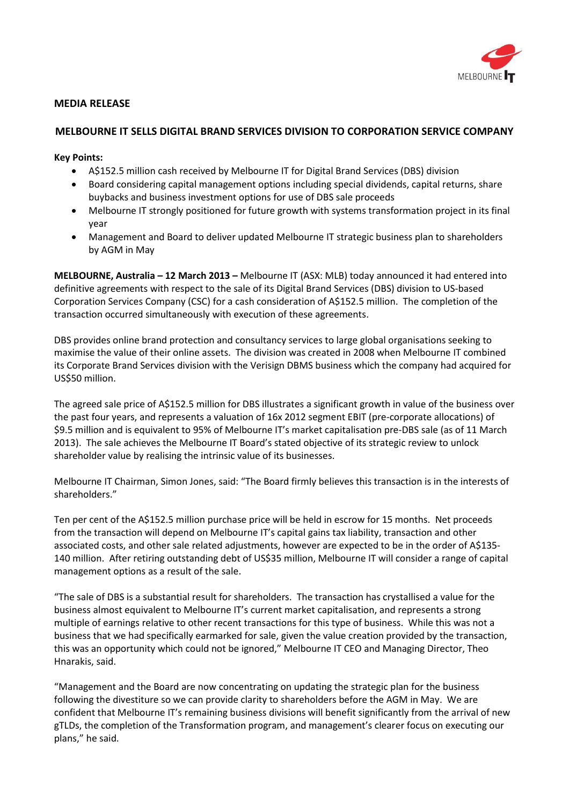

# **MEDIA RELEASE**

## **MELBOURNE IT SELLS DIGITAL BRAND SERVICES DIVISION TO CORPORATION SERVICE COMPANY**

## **Key Points:**

- A\$152.5 million cash received by Melbourne IT for Digital Brand Services (DBS) division
- Board considering capital management options including special dividends, capital returns, share buybacks and business investment options for use of DBS sale proceeds
- Melbourne IT strongly positioned for future growth with systems transformation project in its final year
- Management and Board to deliver updated Melbourne IT strategic business plan to shareholders by AGM in May

**MELBOURNE, Australia – 12 March 2013 –** Melbourne IT (ASX: MLB) today announced it had entered into definitive agreements with respect to the sale of its Digital Brand Services (DBS) division to US-based Corporation Services Company (CSC) for a cash consideration of A\$152.5 million. The completion of the transaction occurred simultaneously with execution of these agreements.

DBS provides online brand protection and consultancy services to large global organisations seeking to maximise the value of their online assets. The division was created in 2008 when Melbourne IT combined its Corporate Brand Services division with the Verisign DBMS business which the company had acquired for US\$50 million.

The agreed sale price of A\$152.5 million for DBS illustrates a significant growth in value of the business over the past four years, and represents a valuation of 16x 2012 segment EBIT (pre-corporate allocations) of \$9.5 million and is equivalent to 95% of Melbourne IT's market capitalisation pre-DBS sale (as of 11 March 2013). The sale achieves the Melbourne IT Board's stated objective of its strategic review to unlock shareholder value by realising the intrinsic value of its businesses.

Melbourne IT Chairman, Simon Jones, said: "The Board firmly believes this transaction is in the interests of shareholders."

Ten per cent of the A\$152.5 million purchase price will be held in escrow for 15 months. Net proceeds from the transaction will depend on Melbourne IT's capital gains tax liability, transaction and other associated costs, and other sale related adjustments, however are expected to be in the order of A\$135- 140 million. After retiring outstanding debt of US\$35 million, Melbourne IT will consider a range of capital management options as a result of the sale.

"The sale of DBS is a substantial result for shareholders. The transaction has crystallised a value for the business almost equivalent to Melbourne IT's current market capitalisation, and represents a strong multiple of earnings relative to other recent transactions for this type of business. While this was not a business that we had specifically earmarked for sale, given the value creation provided by the transaction, this was an opportunity which could not be ignored," Melbourne IT CEO and Managing Director, Theo Hnarakis, said.

"Management and the Board are now concentrating on updating the strategic plan for the business following the divestiture so we can provide clarity to shareholders before the AGM in May. We are confident that Melbourne IT's remaining business divisions will benefit significantly from the arrival of new gTLDs, the completion of the Transformation program, and management's clearer focus on executing our plans," he said.